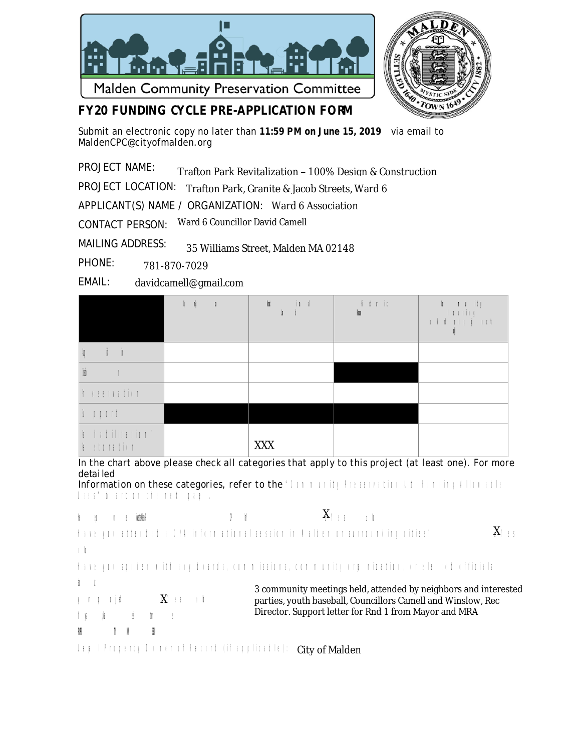



## **FY20 FUNDING CYCLE PRE-APPLICATION FORM**

Submit an electronic copy no later than **11:59 PM on June 15, 2019** via email to MaldenCPC@cityofmalden.org

PROJECT NAME: Trafton Park Revitalization – 100% Design & Construction

PROJECT LOCATION: Trafton Park, Granite & Jacob Streets, Ward 6

APPLICANT(S) NAME / ORGANIZATION: Ward 6 Association

CONTACT PERSON: Ward 6 Councillor David Camell

MAILING ADDRESS: 35 Williams Street, Malden MA 02148

PHONE: 781-870-7029

EMAIL: davidcamell@gmail.com

|                                                          | $\mathbb{I}-\mathbb{I}$<br>$\mathbb{R}$ | $\mathbf{u}$<br>冒<br>$k - 1$ | $\pm$ 1 $\pm$ 10<br>酾 |  |
|----------------------------------------------------------|-----------------------------------------|------------------------------|-----------------------|--|
| $i - i$                                                  |                                         |                              |                       |  |
| 匾                                                        |                                         |                              |                       |  |
| <b>Familin</b>                                           |                                         |                              |                       |  |
| $1 + 1 + 11$                                             |                                         |                              |                       |  |
| $\left  \cdot \right $ to differ the di<br>$k$ iteration |                                         | <b>XXX</b>                   |                       |  |

In the chart above please check all categories that apply to this project (at least one). For more *detai led* 

Information on these categories, refer to the 'little trill little matrix of the finding diluted *<sup>U</sup> <sup>s</sup> <sup>e</sup> <sup>s</sup>* " *ch <sup>a</sup> r t <sup>o</sup> <sup>n</sup> t <sup>h</sup> <sup>e</sup> <sup>n</sup> <sup>e</sup> xtp <sup>a</sup> ge .*

```
X_{++} <sub>1</sub>
Hav e yo u r ev iewed the Malden CP C P lan? □ Y e s □ No
                                                         0 - 8X_{\square\bot\bot}H a ve y o u a theod ed a C PA in formulation a tin ou i n d a l d e n o r s u rro o o tin g cities !
 □ No. → No. → No. → No. → No. → No. → No. → No. → No. → No. → No. → No. → No. → No. → No. → No. → No. → No. → N
H a re y ou sy o ke o mith a ny boa rda, con m is sin ra, com m u nity or wording to relate the of ficial set
abo ut 
                                                                  3 community meetings held, attended by neighbors and interested 
 y \perp y \perp y artic
                                                                   parties, youth baseball, Councillors Camell and Winslow, Rec 
                                                                  Director. Support letter for Rnd 1 from Mayor and MRA
If p is the set of the list of the list of the list of the list of the list of the list of the list of the list of the list of the list of the list of the list of the list of the list of the list of the list of the list 
W
 PROPER TY OWN ERSHIP
 Le politique de provincia en la propieta del città del città del control del participato del città del città d
```